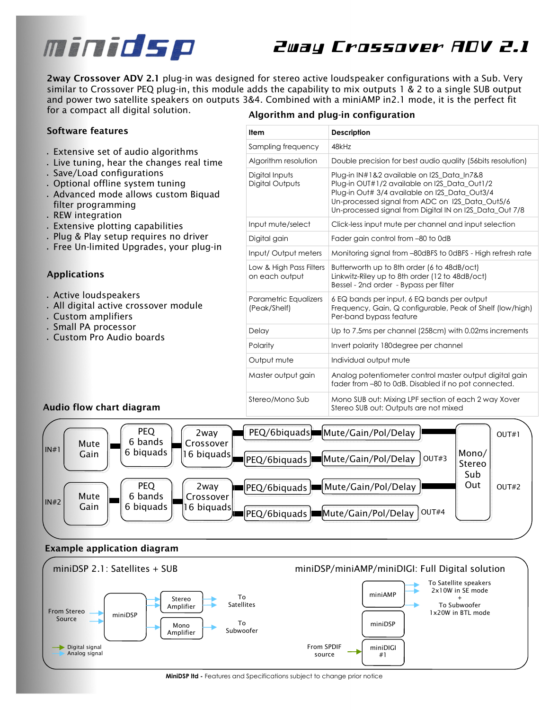# minidsp

# 2way Crossover ADV 2.1

**2way Crossover ADV 2.1** *plug-in was designed for stereo active loudspeaker configurations with a Sub. Very similar to Crossover PEQ plug-in, this module adds the capability to mix outputs 1 & 2 to a single SUB output*  and power two satellite speakers on outputs 3&4. Combined with a miniAMP in2.1 mode, it is the perfect fit *for a compact all digital solution.* 

### **Software features**

- *Extensive set of audio algorithms*
- *Live tuning, hear the changes real time*
- *Save/Load configurations*
- *Optional offline system tuning*
- *Advanced mode allows custom Biquad filter programming*
- *REW integration*
- *Extensive plotting capabilities*
- *Plug & Play setup requires no driver*
- *Free Un-limited Upgrades, your plug-in*

# **Applications**

- *Active loudspeakers*
- *All digital active crossover module*
- *Custom amplifiers*
- *Small PA processor*
- *Custom Pro Audio boards*

**Audio flow chart diagram** 

# **Algorithm and plug-in configuration**

| Item                                      | Description                                                                                                                                                                                                                                               |
|-------------------------------------------|-----------------------------------------------------------------------------------------------------------------------------------------------------------------------------------------------------------------------------------------------------------|
| Sampling frequency                        | 48kHz                                                                                                                                                                                                                                                     |
| Algorithm resolution                      | Double precision for best audio quality (56 bits resolution)                                                                                                                                                                                              |
| Digital Inputs<br>Digital Outputs         | Plug-in IN#1&2 available on I2S Data In7&8<br>Plug-in OUT#1/2 available on I2S Data Out1/2<br>Plug-in Out# 3/4 available on I2S Data Out3/4<br>Un-processed signal from ADC on 12S_Data_Out5/6<br>Un-processed signal from Digital IN on I2S_Data_Out 7/8 |
| Input mute/select                         | Click-less input mute per channel and input selection                                                                                                                                                                                                     |
| Digital gain                              | Fader gain control from -80 to 0dB                                                                                                                                                                                                                        |
| Input/Output meters                       | Monitoring signal from -80dBFS to 0dBFS - High refresh rate                                                                                                                                                                                               |
| Low & High Pass Filters<br>on each output | Butterworth up to 8th order (6 to 48dB/oct)<br>Linkwitz-Riley up to 8th order (12 to 48dB/oct)<br>Bessel - 2nd order - Bypass per filter                                                                                                                  |
| Parametric Equalizers<br>(Peak/Shelf)     | 6 EQ bands per input, 6 EQ bands per output<br>Frequency, Gain, Q configurable, Peak of Shelf (low/high)<br>Per-band bypass feature                                                                                                                       |
| Delay                                     | Up to 7.5ms per channel (258cm) with 0.02ms increments                                                                                                                                                                                                    |
| Polarity                                  | Invert polarity 180degree per channel                                                                                                                                                                                                                     |
| Output mute                               | Individual output mute                                                                                                                                                                                                                                    |
| Master output gain                        | Analog potentiometer control master output digital gain<br>fader from -80 to 0dB. Disabled if no pot connected.                                                                                                                                           |
| Stereo/Mono Sub                           | Mono SUB out: Mixing LPF section of each 2 way Xover<br>Stereo SUB out: Outputs are not mixed                                                                                                                                                             |



#### **Example application diagram**